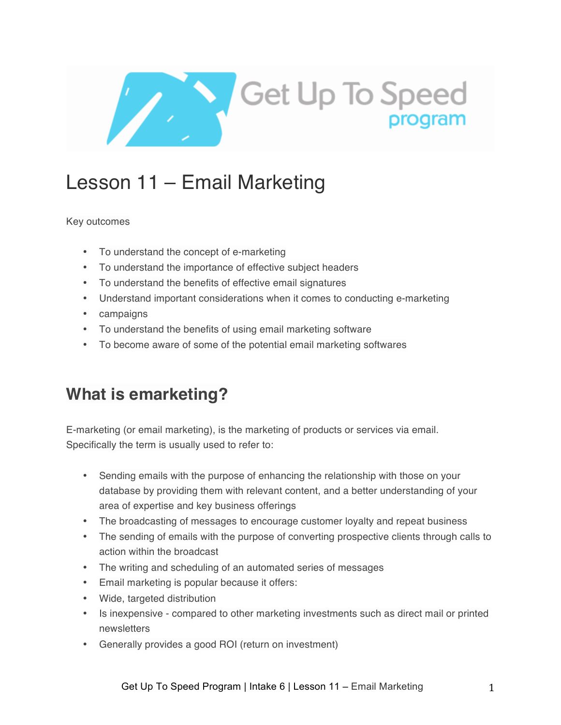

# Lesson 11 – Email Marketing

### Key outcomes

- To understand the concept of e-marketing
- To understand the importance of effective subject headers
- To understand the benefits of effective email signatures
- Understand important considerations when it comes to conducting e-marketing
- campaigns
- To understand the benefits of using email marketing software
- To become aware of some of the potential email marketing softwares

## **What is emarketing?**

E-marketing (or email marketing), is the marketing of products or services via email. Specifically the term is usually used to refer to:

- Sending emails with the purpose of enhancing the relationship with those on your database by providing them with relevant content, and a better understanding of your area of expertise and key business offerings
- The broadcasting of messages to encourage customer loyalty and repeat business
- The sending of emails with the purpose of converting prospective clients through calls to action within the broadcast
- The writing and scheduling of an automated series of messages
- Email marketing is popular because it offers:
- Wide, targeted distribution
- Is inexpensive compared to other marketing investments such as direct mail or printed newsletters
- Generally provides a good ROI (return on investment)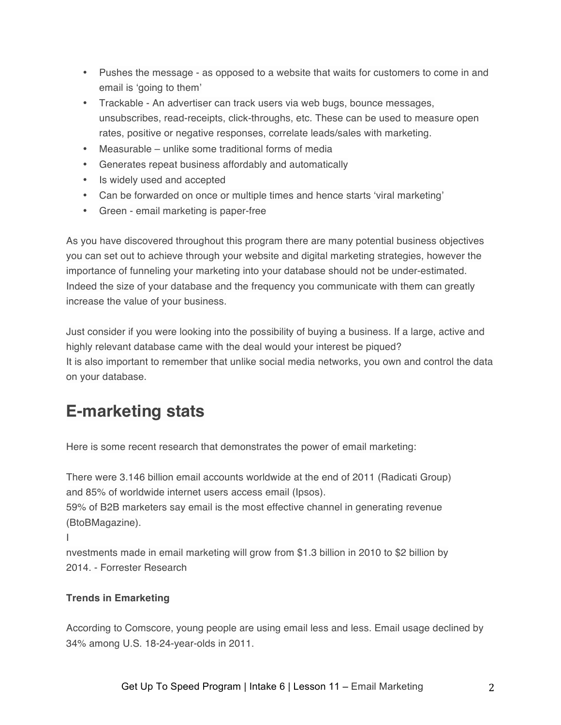- Pushes the message as opposed to a website that waits for customers to come in and email is 'going to them'
- Trackable An advertiser can track users via web bugs, bounce messages, unsubscribes, read-receipts, click-throughs, etc. These can be used to measure open rates, positive or negative responses, correlate leads/sales with marketing.
- Measurable unlike some traditional forms of media
- Generates repeat business affordably and automatically
- Is widely used and accepted
- Can be forwarded on once or multiple times and hence starts 'viral marketing'
- Green email marketing is paper-free

As you have discovered throughout this program there are many potential business objectives you can set out to achieve through your website and digital marketing strategies, however the importance of funneling your marketing into your database should not be under-estimated. Indeed the size of your database and the frequency you communicate with them can greatly increase the value of your business.

Just consider if you were looking into the possibility of buying a business. If a large, active and highly relevant database came with the deal would your interest be piqued? It is also important to remember that unlike social media networks, you own and control the data on your database.

## **E-marketing stats**

Here is some recent research that demonstrates the power of email marketing:

There were 3.146 billion email accounts worldwide at the end of 2011 (Radicati Group) and 85% of worldwide internet users access email (Ipsos).

59% of B2B marketers say email is the most effective channel in generating revenue (BtoBMagazine).

I

nvestments made in email marketing will grow from \$1.3 billion in 2010 to \$2 billion by 2014. - Forrester Research

### **Trends in Emarketing**

According to Comscore, young people are using email less and less. Email usage declined by 34% among U.S. 18-24-year-olds in 2011.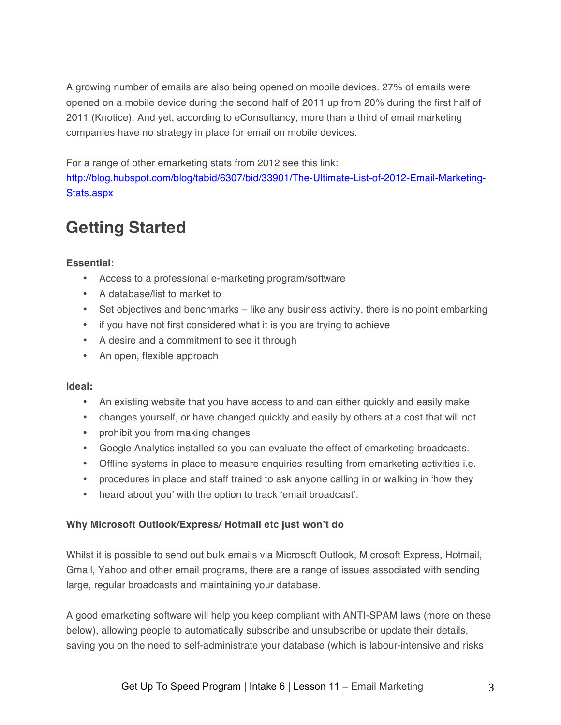A growing number of emails are also being opened on mobile devices. 27% of emails were opened on a mobile device during the second half of 2011 up from 20% during the first half of 2011 (Knotice). And yet, according to eConsultancy, more than a third of email marketing companies have no strategy in place for email on mobile devices.

For a range of other emarketing stats from 2012 see this link:

http://blog.hubspot.com/blog/tabid/6307/bid/33901/The-Ultimate-List-of-2012-Email-Marketing-Stats.aspx

## **Getting Started**

### **Essential:**

- Access to a professional e-marketing program/software
- A database/list to market to
- Set objectives and benchmarks like any business activity, there is no point embarking
- if you have not first considered what it is you are trying to achieve
- A desire and a commitment to see it through
- An open, flexible approach

### **Ideal:**

- An existing website that you have access to and can either quickly and easily make
- changes yourself, or have changed quickly and easily by others at a cost that will not
- prohibit you from making changes
- Google Analytics installed so you can evaluate the effect of emarketing broadcasts.
- Offline systems in place to measure enquiries resulting from emarketing activities i.e.
- procedures in place and staff trained to ask anyone calling in or walking in 'how they
- heard about you' with the option to track 'email broadcast'.

### **Why Microsoft Outlook/Express/ Hotmail etc just won't do**

Whilst it is possible to send out bulk emails via Microsoft Outlook, Microsoft Express, Hotmail, Gmail, Yahoo and other email programs, there are a range of issues associated with sending large, regular broadcasts and maintaining your database.

A good emarketing software will help you keep compliant with ANTI-SPAM laws (more on these below), allowing people to automatically subscribe and unsubscribe or update their details, saving you on the need to self-administrate your database (which is labour-intensive and risks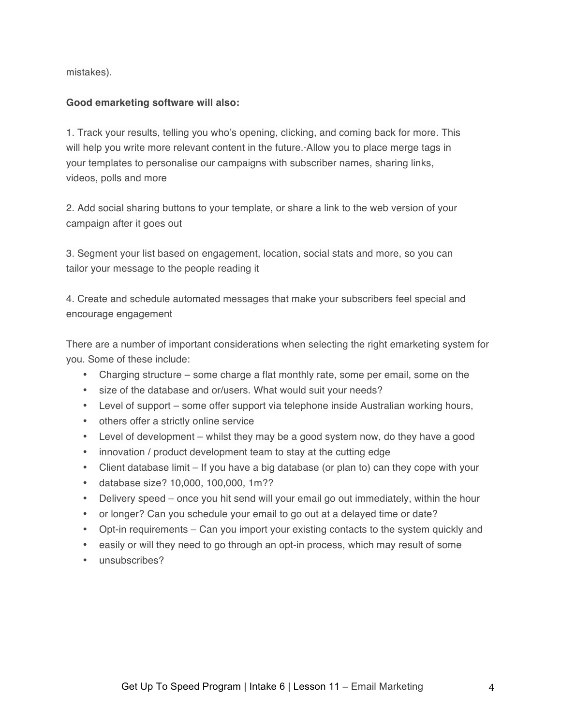mistakes).

### **Good emarketing software will also:**

1. Track your results, telling you who's opening, clicking, and coming back for more. This will help you write more relevant content in the future. Allow you to place merge tags in your templates to personalise our campaigns with subscriber names, sharing links, videos, polls and more

2. Add social sharing buttons to your template, or share a link to the web version of your campaign after it goes out

3. Segment your list based on engagement, location, social stats and more, so you can tailor your message to the people reading it

4. Create and schedule automated messages that make your subscribers feel special and encourage engagement

There are a number of important considerations when selecting the right emarketing system for you. Some of these include:

- Charging structure some charge a flat monthly rate, some per email, some on the
- size of the database and or/users. What would suit your needs?
- Level of support some offer support via telephone inside Australian working hours,
- others offer a strictly online service
- Level of development whilst they may be a good system now, do they have a good
- innovation / product development team to stay at the cutting edge
- Client database limit If you have a big database (or plan to) can they cope with your
- database size? 10,000, 100,000, 1m??
- Delivery speed once you hit send will your email go out immediately, within the hour
- or longer? Can you schedule your email to go out at a delayed time or date?
- Opt-in requirements Can you import your existing contacts to the system quickly and
- easily or will they need to go through an opt-in process, which may result of some
- unsubscribes?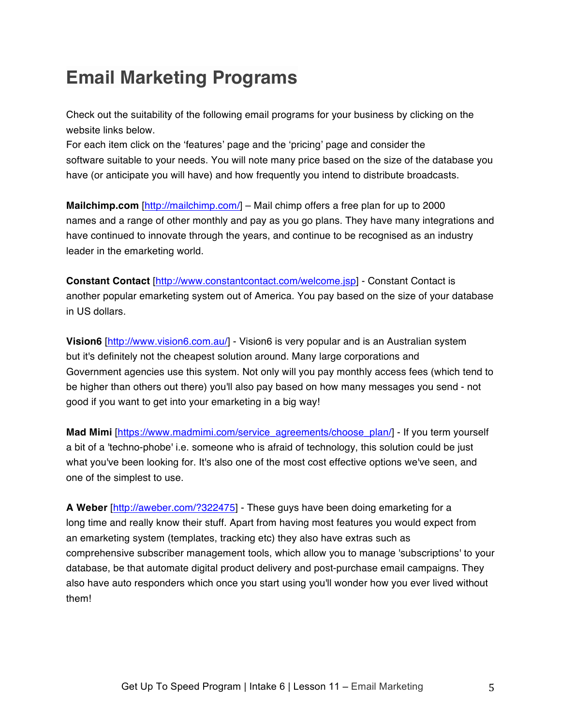## **Email Marketing Programs**

Check out the suitability of the following email programs for your business by clicking on the website links below.

For each item click on the 'features' page and the 'pricing' page and consider the software suitable to your needs. You will note many price based on the size of the database you have (or anticipate you will have) and how frequently you intend to distribute broadcasts.

**Mailchimp.com** [http://mailchimp.com/] – Mail chimp offers a free plan for up to 2000 names and a range of other monthly and pay as you go plans. They have many integrations and have continued to innovate through the years, and continue to be recognised as an industry leader in the emarketing world.

**Constant Contact** [http://www.constantcontact.com/welcome.jsp] - Constant Contact is another popular emarketing system out of America. You pay based on the size of your database in US dollars.

**Vision6** [http://www.vision6.com.au/] - Vision6 is very popular and is an Australian system but it's definitely not the cheapest solution around. Many large corporations and Government agencies use this system. Not only will you pay monthly access fees (which tend to be higher than others out there) you'll also pay based on how many messages you send - not good if you want to get into your emarketing in a big way!

**Mad Mimi** [https://www.madmimi.com/service\_agreements/choose\_plan/] - If you term yourself a bit of a 'techno-phobe' i.e. someone who is afraid of technology, this solution could be just what you've been looking for. It's also one of the most cost effective options we've seen, and one of the simplest to use.

**A Weber** [http://aweber.com/?322475] - These guys have been doing emarketing for a long time and really know their stuff. Apart from having most features you would expect from an emarketing system (templates, tracking etc) they also have extras such as comprehensive subscriber management tools, which allow you to manage 'subscriptions' to your database, be that automate digital product delivery and post-purchase email campaigns. They also have auto responders which once you start using you'll wonder how you ever lived without them!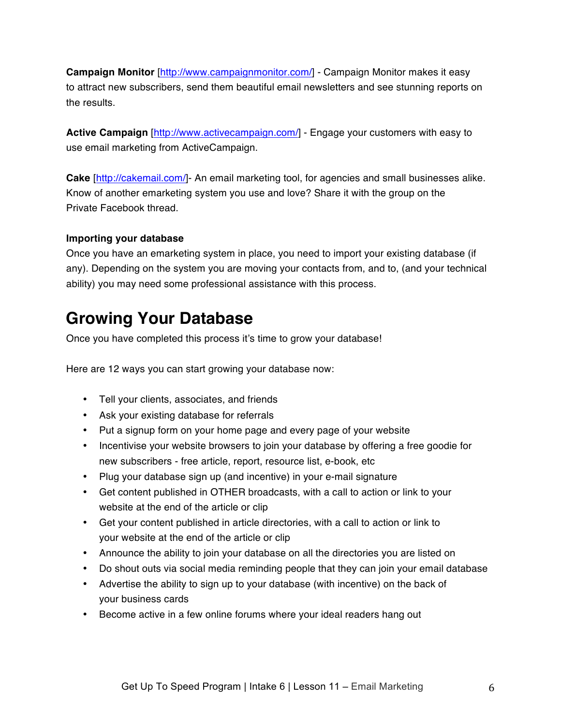**Campaign Monitor** [http://www.campaignmonitor.com/] - Campaign Monitor makes it easy to attract new subscribers, send them beautiful email newsletters and see stunning reports on the results.

**Active Campaign** [http://www.activecampaign.com/] - Engage your customers with easy to use email marketing from ActiveCampaign.

**Cake** [http://cakemail.com/]- An email marketing tool, for agencies and small businesses alike. Know of another emarketing system you use and love? Share it with the group on the Private Facebook thread.

### **Importing your database**

Once you have an emarketing system in place, you need to import your existing database (if any). Depending on the system you are moving your contacts from, and to, (and your technical ability) you may need some professional assistance with this process.

### **Growing Your Database**

Once you have completed this process it's time to grow your database!

Here are 12 ways you can start growing your database now:

- Tell your clients, associates, and friends
- Ask your existing database for referrals
- Put a signup form on your home page and every page of your website
- Incentivise your website browsers to join your database by offering a free goodie for new subscribers - free article, report, resource list, e-book, etc
- Plug your database sign up (and incentive) in your e-mail signature
- Get content published in OTHER broadcasts, with a call to action or link to your website at the end of the article or clip
- Get your content published in article directories, with a call to action or link to your website at the end of the article or clip
- Announce the ability to join your database on all the directories you are listed on
- Do shout outs via social media reminding people that they can join your email database
- Advertise the ability to sign up to your database (with incentive) on the back of your business cards
- Become active in a few online forums where your ideal readers hang out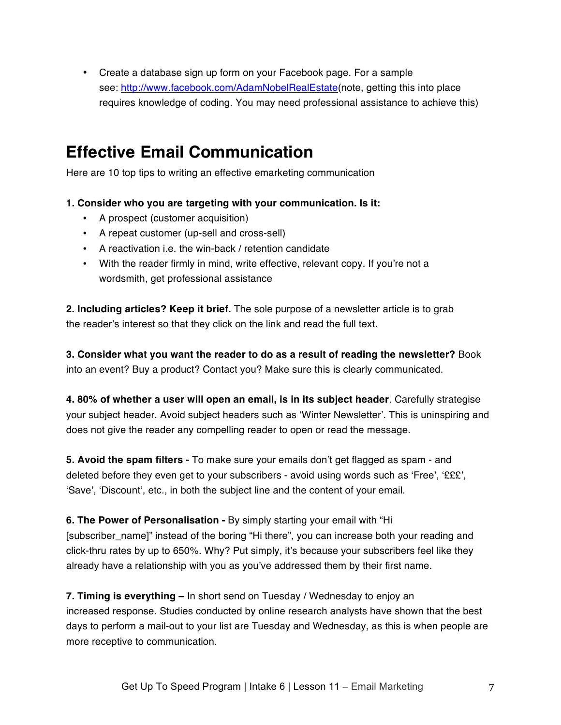• Create a database sign up form on your Facebook page. For a sample see: http://www.facebook.com/AdamNobelRealEstate(note, getting this into place requires knowledge of coding. You may need professional assistance to achieve this)

### **Effective Email Communication**

Here are 10 top tips to writing an effective emarketing communication

**1. Consider who you are targeting with your communication. Is it:**

- A prospect (customer acquisition)
- A repeat customer (up-sell and cross-sell)
- A reactivation i.e. the win-back / retention candidate
- With the reader firmly in mind, write effective, relevant copy. If you're not a wordsmith, get professional assistance

**2. Including articles? Keep it brief.** The sole purpose of a newsletter article is to grab the reader's interest so that they click on the link and read the full text.

**3. Consider what you want the reader to do as a result of reading the newsletter?** Book into an event? Buy a product? Contact you? Make sure this is clearly communicated.

**4. 80% of whether a user will open an email, is in its subject header**. Carefully strategise your subject header. Avoid subject headers such as 'Winter Newsletter'. This is uninspiring and does not give the reader any compelling reader to open or read the message.

**5. Avoid the spam filters -** To make sure your emails don't get flagged as spam - and deleted before they even get to your subscribers - avoid using words such as 'Free', '£££', 'Save', 'Discount', etc., in both the subject line and the content of your email.

**6. The Power of Personalisation -** By simply starting your email with "Hi [subscriber\_name]" instead of the boring "Hi there", you can increase both your reading and click-thru rates by up to 650%. Why? Put simply, it's because your subscribers feel like they already have a relationship with you as you've addressed them by their first name.

**7. Timing is everything –** In short send on Tuesday / Wednesday to enjoy an increased response. Studies conducted by online research analysts have shown that the best days to perform a mail-out to your list are Tuesday and Wednesday, as this is when people are more receptive to communication.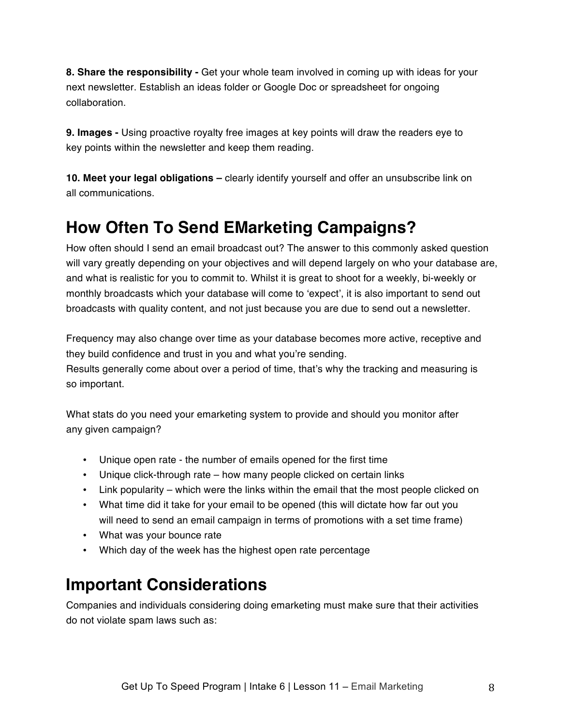**8. Share the responsibility -** Get your whole team involved in coming up with ideas for your next newsletter. Establish an ideas folder or Google Doc or spreadsheet for ongoing collaboration.

**9. Images -** Using proactive royalty free images at key points will draw the readers eye to key points within the newsletter and keep them reading.

**10. Meet your legal obligations –** clearly identify yourself and offer an unsubscribe link on all communications.

### **How Often To Send EMarketing Campaigns?**

How often should I send an email broadcast out? The answer to this commonly asked question will vary greatly depending on your objectives and will depend largely on who your database are, and what is realistic for you to commit to. Whilst it is great to shoot for a weekly, bi-weekly or monthly broadcasts which your database will come to 'expect', it is also important to send out broadcasts with quality content, and not just because you are due to send out a newsletter.

Frequency may also change over time as your database becomes more active, receptive and they build confidence and trust in you and what you're sending. Results generally come about over a period of time, that's why the tracking and measuring is so important.

What stats do you need your emarketing system to provide and should you monitor after any given campaign?

- Unique open rate the number of emails opened for the first time
- Unique click-through rate how many people clicked on certain links
- Link popularity which were the links within the email that the most people clicked on
- What time did it take for your email to be opened (this will dictate how far out you will need to send an email campaign in terms of promotions with a set time frame)
- What was your bounce rate
- Which day of the week has the highest open rate percentage

## **Important Considerations**

Companies and individuals considering doing emarketing must make sure that their activities do not violate spam laws such as: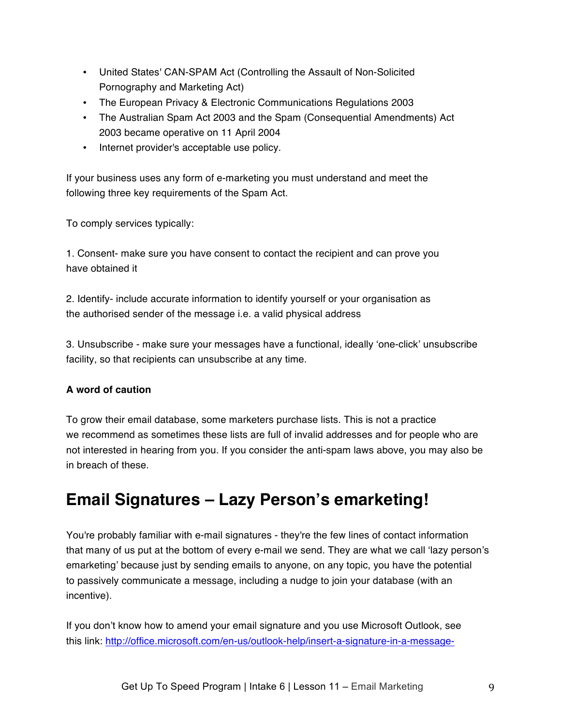- United States' CAN-SPAM Act (Controlling the Assault of Non-Solicited Pornography and Marketing Act)
- The European Privacy & Electronic Communications Regulations 2003
- The Australian Spam Act 2003 and the Spam (Consequential Amendments) Act 2003 became operative on 11 April 2004
- Internet provider's acceptable use policy.

If your business uses any form of e-marketing you must understand and meet the following three key requirements of the Spam Act.

To comply services typically:

1. Consent- make sure you have consent to contact the recipient and can prove you have obtained it

2. Identify- include accurate information to identify yourself or your organisation as the authorised sender of the message i.e. a valid physical address

3. Unsubscribe - make sure your messages have a functional, ideally 'one-click' unsubscribe facility, so that recipients can unsubscribe at any time.

### **A word of caution**

To grow their email database, some marketers purchase lists. This is not a practice we recommend as sometimes these lists are full of invalid addresses and for people who are not interested in hearing from you. If you consider the anti-spam laws above, you may also be in breach of these.

## **Email Signatures – Lazy Person's emarketing!**

You're probably familiar with e-mail signatures - they're the few lines of contact information that many of us put at the bottom of every e-mail we send. They are what we call 'lazy person's emarketing' because just by sending emails to anyone, on any topic, you have the potential to passively communicate a message, including a nudge to join your database (with an incentive).

If you don't know how to amend your email signature and you use Microsoft Outlook, see this link: http://office.microsoft.com/en-us/outlook-help/insert-a-signature-in-a-message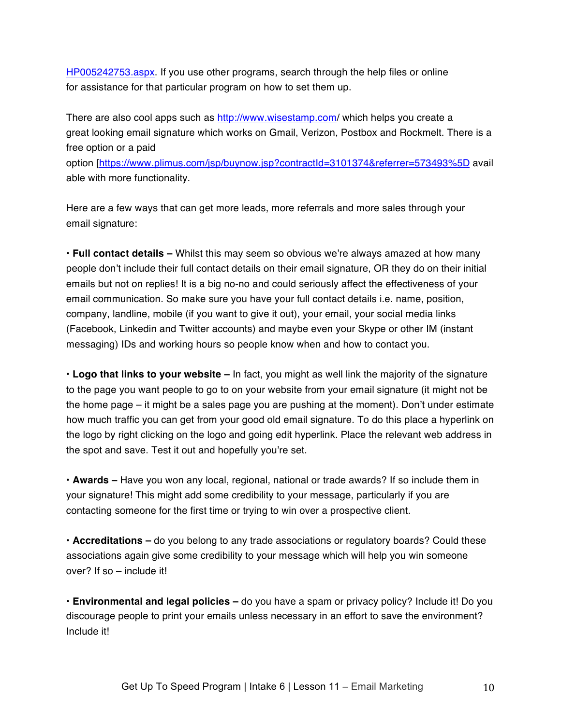HP005242753.aspx. If you use other programs, search through the help files or online for assistance for that particular program on how to set them up.

There are also cool apps such as http://www.wisestamp.com/ which helps you create a great looking email signature which works on Gmail, Verizon, Postbox and Rockmelt. There is a free option or a paid

option [https://www.plimus.com/jsp/buynow.jsp?contractId=3101374&referrer=573493%5D avail able with more functionality.

Here are a few ways that can get more leads, more referrals and more sales through your email signature:

**• Full contact details –** Whilst this may seem so obvious we're always amazed at how many people don't include their full contact details on their email signature, OR they do on their initial emails but not on replies! It is a big no-no and could seriously affect the effectiveness of your email communication. So make sure you have your full contact details i.e. name, position, company, landline, mobile (if you want to give it out), your email, your social media links (Facebook, Linkedin and Twitter accounts) and maybe even your Skype or other IM (instant messaging) IDs and working hours so people know when and how to contact you.

**• Logo that links to your website –** In fact, you might as well link the majority of the signature to the page you want people to go to on your website from your email signature (it might not be the home page – it might be a sales page you are pushing at the moment). Don't under estimate how much traffic you can get from your good old email signature. To do this place a hyperlink on the logo by right clicking on the logo and going edit hyperlink. Place the relevant web address in the spot and save. Test it out and hopefully you're set.

**• Awards –** Have you won any local, regional, national or trade awards? If so include them in your signature! This might add some credibility to your message, particularly if you are contacting someone for the first time or trying to win over a prospective client.

**• Accreditations –** do you belong to any trade associations or regulatory boards? Could these associations again give some credibility to your message which will help you win someone over? If so – include it!

**• Environmental and legal policies –** do you have a spam or privacy policy? Include it! Do you discourage people to print your emails unless necessary in an effort to save the environment? Include it!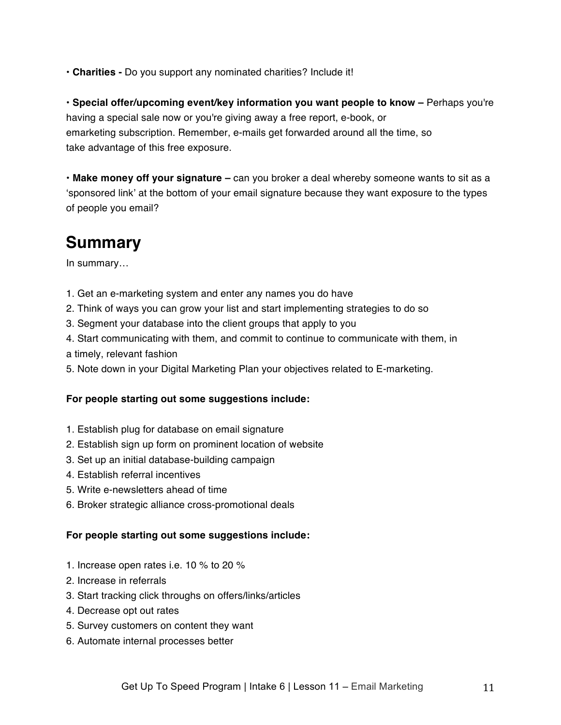**• Charities -** Do you support any nominated charities? Include it!

**• Special offer/upcoming event/key information you want people to know –** Perhaps you're having a special sale now or you're giving away a free report, e-book, or emarketing subscription. Remember, e-mails get forwarded around all the time, so take advantage of this free exposure.

**• Make money off your signature –** can you broker a deal whereby someone wants to sit as a 'sponsored link' at the bottom of your email signature because they want exposure to the types of people you email?

### **Summary**

In summary…

- 1. Get an e-marketing system and enter any names you do have
- 2. Think of ways you can grow your list and start implementing strategies to do so
- 3. Segment your database into the client groups that apply to you
- 4. Start communicating with them, and commit to continue to communicate with them, in a timely, relevant fashion
- 5. Note down in your Digital Marketing Plan your objectives related to E-marketing.

### **For people starting out some suggestions include:**

- 1. Establish plug for database on email signature
- 2. Establish sign up form on prominent location of website
- 3. Set up an initial database-building campaign
- 4. Establish referral incentives
- 5. Write e-newsletters ahead of time
- 6. Broker strategic alliance cross-promotional deals

### **For people starting out some suggestions include:**

- 1. Increase open rates i.e. 10 % to 20 %
- 2. Increase in referrals
- 3. Start tracking click throughs on offers/links/articles
- 4. Decrease opt out rates
- 5. Survey customers on content they want
- 6. Automate internal processes better